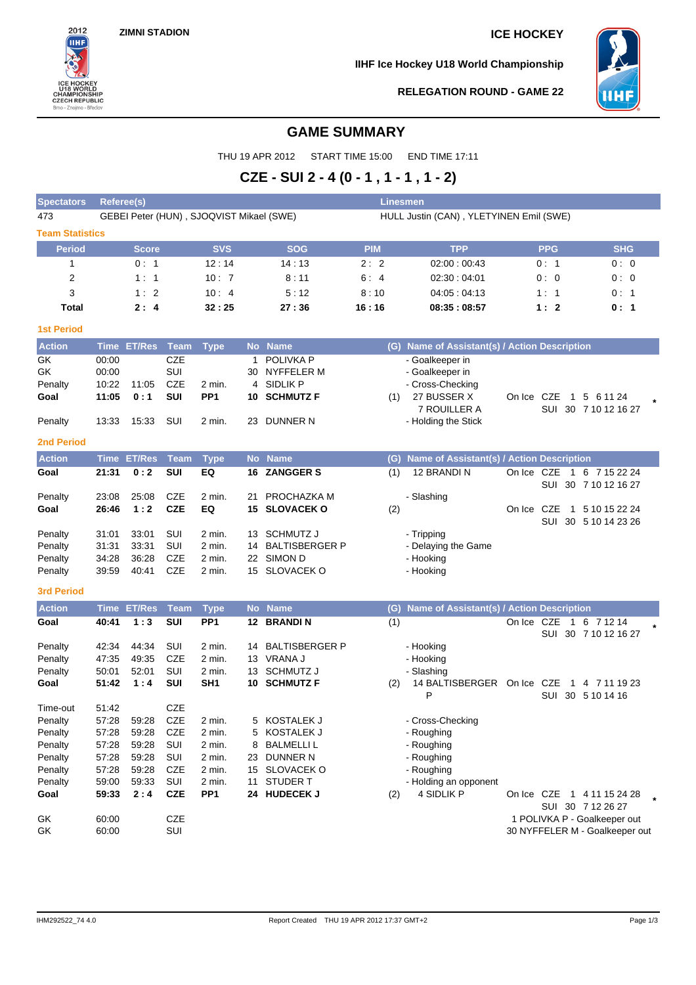

**IIHF Ice Hockey U18 World Championship**



# **RELEGATION ROUND - GAME 22**

# **GAME SUMMARY**

THU 19 APR 2012 START TIME 15:00 END TIME 17:11

# **CZE - SUI 2 - 4 (0 - 1 , 1 - 1 , 1 - 2)**

| <b>Spectators</b>      | <b>Referee(s)</b> |                    |             |                                          |    |                       | Linesmen   |                                                  |            |                |                                                 |
|------------------------|-------------------|--------------------|-------------|------------------------------------------|----|-----------------------|------------|--------------------------------------------------|------------|----------------|-------------------------------------------------|
| 473                    |                   |                    |             | GEBEI Peter (HUN), SJOQVIST Mikael (SWE) |    |                       |            | HULL Justin (CAN), YLETYINEN Emil (SWE)          |            |                |                                                 |
| <b>Team Statistics</b> |                   |                    |             |                                          |    |                       |            |                                                  |            |                |                                                 |
| <b>Period</b>          |                   | Score              |             | <b>SVS</b>                               |    | <b>SOG</b>            | <b>PIM</b> | <b>TPP</b>                                       |            | <b>PPG</b>     | <b>SHG</b>                                      |
| 1                      |                   | 0:1                |             | 12:14                                    |    | 14:13                 | 2:2        | 02:00:00:43                                      |            | 0:1            | 0:0                                             |
| 2                      |                   | 1:1                |             | 10:7                                     |    | 8:11                  | 6:4        | 02:30:04:01                                      |            | 0:0            | 0:0                                             |
| 3                      |                   | 1:2                |             | 10:4                                     |    | 5:12                  | 8:10       | 04:05:04:13                                      |            | 1:1            | 0:1                                             |
| <b>Total</b>           |                   | 2:4                |             | 32:25                                    |    | 27:36                 | 16:16      | 08:35:08:57                                      |            | 1:2            | 0: 1                                            |
| <b>1st Period</b>      |                   |                    |             |                                          |    |                       |            |                                                  |            |                |                                                 |
| <b>Action</b>          |                   | Time ET/Res        | <b>Team</b> | <b>Type</b>                              |    | No Name               |            | (G) Name of Assistant(s) / Action Description    |            |                |                                                 |
| GK                     | 00:00             |                    | <b>CZE</b>  |                                          | 1  | POLIVKA P             |            | - Goalkeeper in                                  |            |                |                                                 |
| GK                     | 00:00             |                    | <b>SUI</b>  |                                          | 30 | NYFFELER M            |            | - Goalkeeper in                                  |            |                |                                                 |
| Penalty                | 10:22             | 11:05              | <b>CZE</b>  | 2 min.                                   |    | 4 SIDLIK P            |            | - Cross-Checking                                 |            |                |                                                 |
| Goal                   | 11:05             | 0:1                | SUI         | PP <sub>1</sub>                          |    | <b>10 SCHMUTZ F</b>   | (1)        | 27 BUSSER X                                      | On Ice CZE |                | 1 5 6 11 24                                     |
|                        |                   |                    |             |                                          |    |                       |            | 7 ROUILLER A                                     |            |                | SUI 30 7 10 12 16 27                            |
| Penalty                | 13:33             | 15:33              | SUI         | 2 min.                                   | 23 | DUNNER N              |            | - Holding the Stick                              |            |                |                                                 |
| <b>2nd Period</b>      |                   |                    |             |                                          |    |                       |            |                                                  |            |                |                                                 |
| <b>Action</b>          |                   | Time ET/Res        | <b>Team</b> | <b>Type</b>                              |    | No Name               | (G)        | <b>Name of Assistant(s) / Action Description</b> |            |                |                                                 |
| Goal                   | 21:31             | 0:2                | SUI         | EQ                                       | 16 | <b>ZANGGER S</b>      | (1)        | 12 BRANDIN                                       | On Ice CZE | $\overline{1}$ | 6 7 15 22 24                                    |
| Penalty                | 23:08             | 25:08              | <b>CZE</b>  | 2 min.                                   | 21 | PROCHAZKA M           |            | - Slashing                                       |            |                | SUI 30 7 10 12 16 27                            |
| Goal                   | 26:46             | 1:2                | <b>CZE</b>  | EQ                                       | 15 | <b>SLOVACEK O</b>     | (2)        |                                                  | On Ice CZE |                | 1 5 10 15 22 24                                 |
|                        |                   |                    |             |                                          |    |                       |            |                                                  |            |                | SUI 30 5 10 14 23 26                            |
| Penalty                | 31:01             | 33:01              | SUI         | 2 min.                                   | 13 | <b>SCHMUTZ J</b>      |            | - Tripping                                       |            |                |                                                 |
| Penalty                | 31:31             | 33:31              | SUI         | 2 min.                                   | 14 | <b>BALTISBERGER P</b> |            | - Delaying the Game                              |            |                |                                                 |
| Penalty                | 34:28             | 36:28              | <b>CZE</b>  | 2 min.                                   |    | 22 SIMON D            |            | - Hooking                                        |            |                |                                                 |
| Penalty                | 39:59             | 40:41              | <b>CZE</b>  | 2 min.                                   |    | 15 SLOVACEK O         |            | - Hooking                                        |            |                |                                                 |
| <b>3rd Period</b>      |                   |                    |             |                                          |    |                       |            |                                                  |            |                |                                                 |
| <b>Action</b>          |                   | <b>Time ET/Res</b> | <b>Team</b> | <b>Type</b>                              |    | No Name               | (G)        | Name of Assistant(s) / Action Description        |            |                |                                                 |
| Goal                   | 40:41             | 1:3                | <b>SUI</b>  | PP <sub>1</sub>                          |    | 12 BRANDIN            | (1)        |                                                  |            |                | On Ice CZE 1 6 7 12 14                          |
|                        |                   |                    |             |                                          |    |                       |            |                                                  |            |                | SUI 30 7 10 12 16 27                            |
| Penalty                | 42:34             | 44:34              | SUI         | 2 min.                                   | 14 | <b>BALTISBERGER P</b> |            | - Hooking                                        |            |                |                                                 |
| Penalty                | 47:35             | 49:35              | <b>CZE</b>  | 2 min.                                   |    | 13 VRANA J            |            | - Hooking                                        |            |                |                                                 |
| Penalty                | 50:01             | 52:01              | SUI         | 2 min.                                   |    | 13 SCHMUTZ J          |            | - Slashing                                       |            |                |                                                 |
| Goal                   | 51:42             | 1:4                | SUI         | SH <sub>1</sub>                          |    | 10 SCHMUTZ F          | (2)        | 14 BALTISBERGER On Ice CZE<br>P                  |            | 1              | 4 7 11 19 23<br>SUI 30 5 10 14 16               |
| Time-out               | 51:42             |                    | <b>CZE</b>  |                                          |    |                       |            |                                                  |            |                |                                                 |
| Penalty                | 57:28             | 59:28              | <b>CZE</b>  | 2 min.                                   | 5  | KOSTALEK J            |            | - Cross-Checking                                 |            |                |                                                 |
| Penalty                | 57:28             | 59:28              | <b>CZE</b>  | 2 min.                                   | 5  | KOSTALEK J            |            | - Roughing                                       |            |                |                                                 |
| Penalty                | 57:28             | 59:28              | SUI         | 2 min.                                   | 8  | <b>BALMELLI L</b>     |            | - Roughing                                       |            |                |                                                 |
| Penalty                | 57:28             | 59:28              | SUI         | 2 min.                                   | 23 | DUNNER N              |            | - Roughing                                       |            |                |                                                 |
| Penalty                | 57:28             | 59:28              | <b>CZE</b>  | 2 min.                                   |    | 15 SLOVACEK O         |            | - Roughing                                       |            |                |                                                 |
| Penalty                | 59:00             | 59:33              | SUI         | 2 min.                                   | 11 | <b>STUDER T</b>       |            | - Holding an opponent                            |            |                |                                                 |
| Goal                   | 59:33             | 2:4                | <b>CZE</b>  | PP <sub>1</sub>                          |    | 24 HUDECEK J          | (2)        | 4 SIDLIK P                                       |            |                | On Ice CZE 1 4 11 15 24 28<br>SUI 30 7 12 26 27 |
| GK                     | 60:00             |                    | <b>CZE</b>  |                                          |    |                       |            |                                                  |            |                | 1 POLIVKA P - Goalkeeper out                    |
| GK                     | 60:00             |                    | SUI         |                                          |    |                       |            |                                                  |            |                | 30 NYFFELER M - Goalkeeper out                  |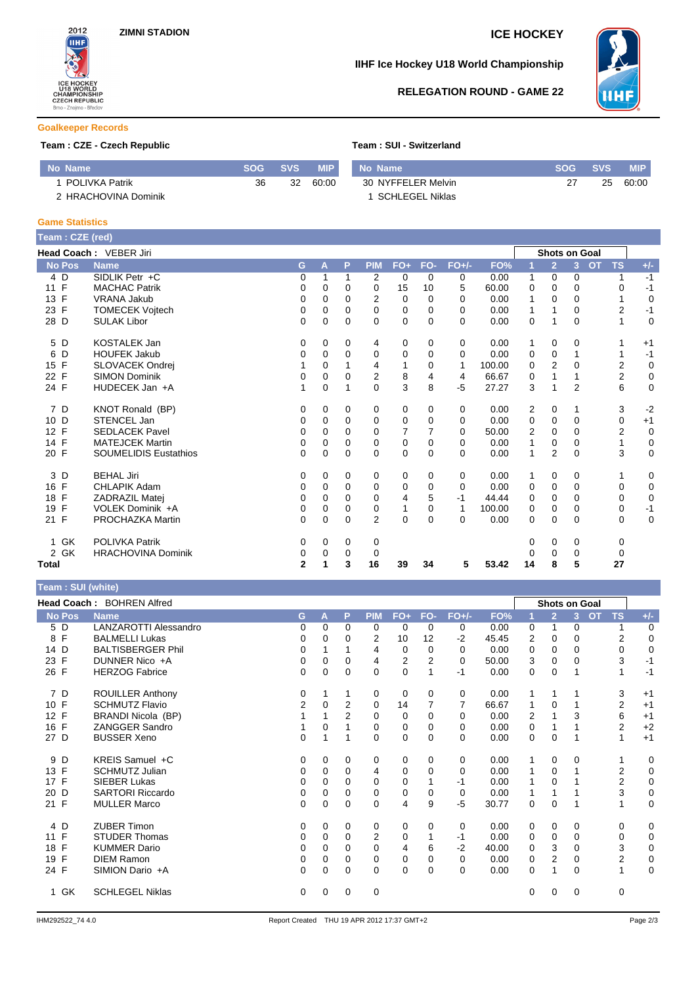

# **IIHF Ice Hockey U18 World Championship**



# **RELEGATION ROUND - GAME 22**

### **Goalkeeper Records**

## **Team : CZE - Czech Republic**

| Team: SUI - Switzerland |
|-------------------------|
|-------------------------|

| Mo Name \             | <b>SOG</b> | <b>SVS</b> | <b>MIP</b> | Mo Name            | <b>SOG</b> | <b>SVS</b> | MIP.  |
|-----------------------|------------|------------|------------|--------------------|------------|------------|-------|
| <b>POLIVKA Patrik</b> | 36         | 32         | 60.00      | 30 NYFFELER Melvin |            | 25         | 60:00 |
| 2 HRACHOVINA Dominik  |            |            |            | SCHLEGEL Niklas    |            |            |       |

### **Game Statistics**

**Team : SUI (white)**

| Team: CZE (red)    |                              |              |          |              |                |                |          |          |        |                |                      |                |           |                |             |
|--------------------|------------------------------|--------------|----------|--------------|----------------|----------------|----------|----------|--------|----------------|----------------------|----------------|-----------|----------------|-------------|
|                    | Head Coach: VEBER Jiri       |              |          |              |                |                |          |          |        |                | <b>Shots on Goal</b> |                |           |                |             |
| <b>No Pos</b>      | <b>Name</b>                  | G            | A        | P            | <b>PIM</b>     | $FO+$          | FO-      | $FO+/-$  | FO%    | 1              | $\overline{2}$       | 3 <sup>1</sup> | <b>OT</b> | <b>TS</b>      | $+/-$       |
| 4 D                | SIDLIK Petr +C               | 0            | 1        |              | 2              | 0              | $\Omega$ | 0        | 0.00   | 1              | 0                    | 0              |           | 1              | $-1$        |
| $\mathsf{F}$<br>11 | <b>MACHAC Patrik</b>         | 0            | 0        | 0            | 0              | 15             | 10       | 5        | 60.00  | 0              | $\Omega$             | $\Omega$       |           | 0              | $-1$        |
| 13 F               | <b>VRANA Jakub</b>           | 0            | 0        | $\Omega$     | 2              | 0              | $\Omega$ | $\Omega$ | 0.00   |                | $\Omega$             | $\Omega$       |           | 1              | $\mathbf 0$ |
| 23 F               | <b>TOMECEK Vojtech</b>       | 0            | 0        | 0            | $\Omega$       | $\mathbf 0$    | $\Omega$ | $\Omega$ | 0.00   | 1              | 1                    | 0              |           | $\overline{2}$ | $-1$        |
| D<br>28            | <b>SULAK Libor</b>           | 0            | 0        | 0            | 0              | $\mathbf 0$    | $\Omega$ | 0        | 0.00   | 0              | 1                    | 0              |           | 1              | $\mathbf 0$ |
| D<br>5             | <b>KOSTALEK Jan</b>          | 0            | 0        | 0            | 4              | 0              | 0        | 0        | 0.00   | 1              | 0                    | 0              |           | 1              | $+1$        |
| D<br>6             | <b>HOUFEK Jakub</b>          | 0            | 0        | 0            | 0              | 0              | $\Omega$ | $\Omega$ | 0.00   | 0              | 0                    |                |           | 1              | $-1$        |
| F<br>15            | <b>SLOVACEK Ondrej</b>       |              | $\Omega$ |              | 4              | 1              | 0        | 1        | 100.00 | $\Omega$       | $\overline{2}$       | $\Omega$       |           | 2              | $\mathbf 0$ |
| F<br>22            | <b>SIMON Dominik</b>         | 0            | 0        | 0            | 2              | 8              | 4        | 4        | 66.67  | 0              |                      |                |           | $\overline{2}$ | $\mathbf 0$ |
| 24 F               | HUDECEK Jan +A               |              | 0        |              | $\Omega$       | 3              | 8        | $-5$     | 27.27  | 3              | 1                    | $\overline{2}$ |           | 6              | $\mathbf 0$ |
| 7 D                | KNOT Ronald (BP)             | 0            | 0        | 0            | 0              | 0              | 0        | 0        | 0.00   | 2              | 0                    | 1              |           | 3              | $-2$        |
| 10 D               | STENCEL Jan                  | 0            | 0        | 0            | 0              | 0              | $\Omega$ | $\Omega$ | 0.00   | 0              | 0                    | $\Omega$       |           | 0              | $+1$        |
| F<br>12            | <b>SEDLACEK Pavel</b>        | $\Omega$     | 0        | $\Omega$     | $\Omega$       | $\overline{7}$ | 7        | 0        | 50.00  | $\overline{2}$ | $\Omega$             | $\Omega$       |           | $\overline{2}$ | $\mathbf 0$ |
| 14 F               | <b>MATEJCEK Martin</b>       | 0            | $\Omega$ | 0            | $\Omega$       | $\mathbf 0$    | $\Omega$ | $\Omega$ | 0.00   | 1              | $\mathbf 0$          | $\Omega$       |           | 1              | $\mathbf 0$ |
| 20 F               | <b>SOUMELIDIS Eustathios</b> | $\Omega$     | $\Omega$ | $\mathbf{0}$ | $\Omega$       | $\Omega$       | $\Omega$ | $\Omega$ | 0.00   | 1              | $\overline{2}$       | $\Omega$       |           | 3              | $\mathbf 0$ |
| 3 D                | <b>BEHAL Jiri</b>            | 0            | 0        | $\Omega$     | 0              | 0              | $\Omega$ | 0        | 0.00   | 1              | 0                    | 0              |           | 1              | 0           |
| F<br>16            | <b>CHLAPIK Adam</b>          | 0            | 0        | $\Omega$     | 0              | 0              | $\Omega$ | 0        | 0.00   | 0              | 0                    | 0              |           | 0              | $\mathbf 0$ |
| $\mathsf{F}$<br>18 | <b>ZADRAZIL Matei</b>        | 0            | 0        | 0            | 0              | 4              | 5        | $-1$     | 44.44  | 0              | $\Omega$             | $\Omega$       |           | 0              | $\mathbf 0$ |
| F<br>19            | VOLEK Dominik +A             | 0            | 0        | 0            | 0              | $\mathbf{1}$   | $\Omega$ | 1        | 100.00 | 0              | 0                    | 0              |           | 0              | $-1$        |
| 21 F               | PROCHAZKA Martin             | 0            | 0        | $\Omega$     | $\overline{2}$ | $\mathbf 0$    | $\Omega$ | $\Omega$ | 0.00   | $\Omega$       | $\Omega$             | $\Omega$       |           | 0              | $\mathbf 0$ |
| 1 GK               | <b>POLIVKA Patrik</b>        | 0            | 0        | 0            | 0              |                |          |          |        | 0              | 0                    | 0              |           | 0              |             |
| 2 GK               | <b>HRACHOVINA Dominik</b>    | 0            | 0        | 0            | 0              |                |          |          |        | 0              | 0                    | 0              |           | $\mathbf 0$    |             |
| Total              |                              | $\mathbf{2}$ | 1        | 3            | 16             | 39             | 34       | 5        | 53.42  | 14             | 8                    | 5              |           | 27             |             |

| ream : SUI (wnite) |                           |                |          |                |                |             |          |          |       |   |                |   |           |                |             |
|--------------------|---------------------------|----------------|----------|----------------|----------------|-------------|----------|----------|-------|---|----------------|---|-----------|----------------|-------------|
|                    | Head Coach: BOHREN Alfred |                |          |                |                |             |          |          |       |   | Shots on Goal  |   |           |                |             |
| <b>No Pos</b>      | <b>Name</b>               | G              | A        | P              | <b>PIM</b>     | $FO+$       | FO-      | $FO+/-$  | FO%   |   | $\overline{2}$ | 3 | <b>OT</b> | <b>TS</b>      | $+/-$       |
| 5 D                | LANZAROTTI Alessandro     | 0              | $\Omega$ | 0              | 0              | 0           | 0        | 0        | 0.00  | 0 | 1              | 0 |           | 1              | 0           |
| 8 F                | <b>BALMELLI Lukas</b>     | 0              | $\Omega$ | 0              | $\overline{2}$ | 10          | 12       | $-2$     | 45.45 | 2 | 0              | 0 |           | 2              | 0           |
| 14 D               | <b>BALTISBERGER Phil</b>  | 0              |          |                | 4              | 0           | $\Omega$ | $\Omega$ | 0.00  | 0 | 0              | 0 |           | 0              | 0           |
| 23 F               | DUNNER Nico +A            | 0              | $\Omega$ | 0              | 4              | 2           | 2        | 0        | 50.00 | 3 | 0              | 0 |           | 3              | $-1$        |
| 26 F               | <b>HERZOG Fabrice</b>     | 0              | $\Omega$ | $\Omega$       | $\Omega$       | $\mathbf 0$ | 1        | $-1$     | 0.00  | 0 | 0              |   |           | 1              | $-1$        |
| 7 D                | ROUILLER Anthony          | 0              |          |                | 0              | 0           | $\Omega$ | 0        | 0.00  | 1 |                |   |           | 3              | $+1$        |
| 10 F               | <b>SCHMUTZ Flavio</b>     | $\overline{2}$ | $\Omega$ | $\overline{2}$ | $\Omega$       | 14          | 7        | 7        | 66.67 | 1 | 0              |   |           | 2              | $+1$        |
| 12 F               | BRANDI Nicola (BP)        |                |          | 2              | 0              | 0           | $\Omega$ | $\Omega$ | 0.00  | 2 |                | 3 |           | 6              | $+1$        |
| 16 F               | <b>ZANGGER Sandro</b>     |                | $\Omega$ |                | $\Omega$       | 0           | $\Omega$ | $\Omega$ | 0.00  | 0 |                |   |           | $\overline{2}$ | $+2$        |
| 27 D               | <b>BUSSER Xeno</b>        | 0              |          | 1              | $\Omega$       | 0           | $\Omega$ | $\Omega$ | 0.00  | 0 | 0              |   |           | 1              | $+1$        |
| 9 D                | KREIS Samuel +C           | 0              | $\Omega$ | $\mathbf 0$    | 0              | $\mathbf 0$ | 0        | 0        | 0.00  | 1 | 0              | 0 |           |                | $\mathbf 0$ |
| 13 F               | <b>SCHMUTZ Julian</b>     | 0              | $\Omega$ | 0              | 4              | 0           | $\Omega$ | $\Omega$ | 0.00  | 1 | 0              |   |           | $\overline{2}$ | 0           |
| 17 F               | <b>SIEBER Lukas</b>       | 0              | $\Omega$ | 0              | $\Omega$       | 0           |          | -1       | 0.00  | 1 | 0              |   |           | $\overline{2}$ | 0           |
| 20 D               | SARTORI Riccardo          | 0              | 0        | 0              | $\Omega$       | 0           | 0        | 0        | 0.00  | 1 |                |   |           | 3              | 0           |
| 21 F               | <b>MULLER Marco</b>       | 0              | 0        | $\mathbf 0$    | $\mathbf 0$    | 4           | 9        | -5       | 30.77 | 0 | 0              |   |           | 1              | 0           |
| 4 D                | <b>ZUBER Timon</b>        | 0              | $\Omega$ | 0              | 0              | 0           | $\Omega$ | 0        | 0.00  | 0 | 0              | 0 |           | 0              | 0           |
| $\mathsf{F}$<br>11 | <b>STUDER Thomas</b>      | 0              | $\Omega$ | 0              | 2              | 0           |          | $-1$     | 0.00  | 0 | 0              | 0 |           | 0              | 0           |
| 18 F               | <b>KUMMER Dario</b>       | 0              | $\Omega$ | $\Omega$       | $\Omega$       | 4           | 6        | $-2$     | 40.00 | 0 | 3              | 0 |           | 3              | 0           |
| 19 F               | <b>DIEM Ramon</b>         | 0              | 0        | 0              | 0              | 0           | 0        | 0        | 0.00  | 0 | 2              | 0 |           | $\overline{2}$ | 0           |
| 24 F               | SIMION Dario +A           | 0              | $\Omega$ | $\Omega$       | $\Omega$       | $\mathbf 0$ | $\Omega$ | $\Omega$ | 0.00  | 0 |                | 0 |           | 1              | 0           |
| 1 GK               | <b>SCHLEGEL Niklas</b>    | 0              | $\Omega$ | 0              | $\mathbf 0$    |             |          |          |       | 0 | 0              | 0 |           | 0              |             |